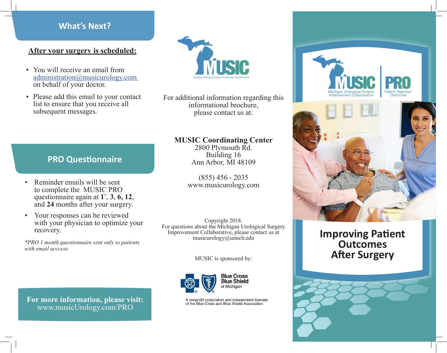### **What's Next?**

### **After your surgery is scheduled:**

- You will receive an email from administration@musicurology.com on behalf of your doctor.
- Please add this email to your contact list to ensure that you receive all subsequent messages.



For additional information regarding this informational brochure, please contact us at:

### **MUSIC Coordinating Center**

2800 Plymouth Rd. Building 16 Ann Arbor, MI 48109

(855) 456 - 2035 www.musicurology.com

Copyright 2018. For questions about the Michigan Urological Surgery Improvement Collaborative, please contact us at musicurology@umich.edu

MUSIC is sponsored by:



A nonprofit corporation and independent licensee of the Blue Cross and Blue Shield Association





# **Improving Patient Outcomes After Surgery**



### **PRO Questionnaire**

- Reminder emails will be sent to complete the MUSIC PRO questionnaire again at **1\*** and 24 months after your surgery.
- Your responses can be reviewed with your physician to optimize your recovery.

*\*PRO 1 month questionnaire sent only to patients with email acccess.*

**For more information, please visit:**  www.musicUrology.com/PRO